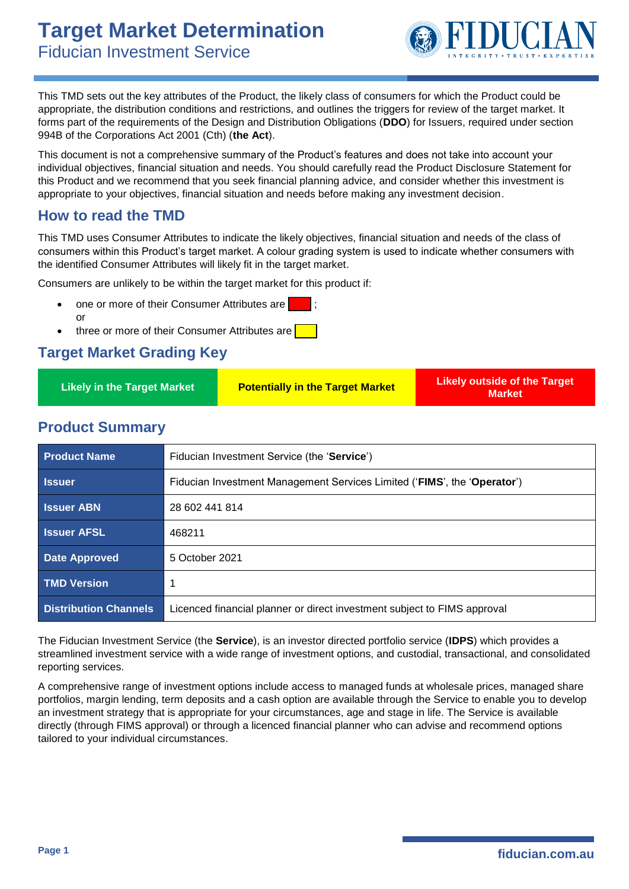

This TMD sets out the key attributes of the Product, the likely class of consumers for which the Product could be appropriate, the distribution conditions and restrictions, and outlines the triggers for review of the target market. It forms part of the requirements of the Design and Distribution Obligations (**DDO**) for Issuers, required under section 994B of the Corporations Act 2001 (Cth) (**the Act**).

This document is not a comprehensive summary of the Product's features and does not take into account your individual objectives, financial situation and needs. You should carefully read the Product Disclosure Statement for this Product and we recommend that you seek financial planning advice, and consider whether this investment is appropriate to your objectives, financial situation and needs before making any investment decision.

#### **How to read the TMD**

This TMD uses Consumer Attributes to indicate the likely objectives, financial situation and needs of the class of consumers within this Product's target market. A colour grading system is used to indicate whether consumers with the identified Consumer Attributes will likely fit in the target market.

Consumers are unlikely to be within the target market for this product if:

- one or more of their Consumer Attributes are or
- three or more of their Consumer Attributes are

#### **Target Market Grading Key**

| <b>Likely in the Target Market</b> | <b>Potentially in the Target Market</b> | <b>Likely outside of the Target</b><br>Market |
|------------------------------------|-----------------------------------------|-----------------------------------------------|
|------------------------------------|-----------------------------------------|-----------------------------------------------|

#### **Product Summary**

| <b>Product Name</b>          | Fiducian Investment Service (the 'Service')                              |
|------------------------------|--------------------------------------------------------------------------|
| <b>Issuer</b>                | Fiducian Investment Management Services Limited ('FIMS', the 'Operator') |
| <b>Issuer ABN</b>            | 28 602 441 814                                                           |
| <b>Issuer AFSL</b>           | 468211                                                                   |
| <b>Date Approved</b>         | 5 October 2021                                                           |
| <b>TMD Version</b>           |                                                                          |
| <b>Distribution Channels</b> | Licenced financial planner or direct investment subject to FIMS approval |

The Fiducian Investment Service (the **Service**), is an investor directed portfolio service (**IDPS**) which provides a streamlined investment service with a wide range of investment options, and custodial, transactional, and consolidated reporting services.

A comprehensive range of investment options include access to managed funds at wholesale prices, managed share portfolios, margin lending, term deposits and a cash option are available through the Service to enable you to develop an investment strategy that is appropriate for your circumstances, age and stage in life. The Service is available directly (through FIMS approval) or through a licenced financial planner who can advise and recommend options tailored to your individual circumstances.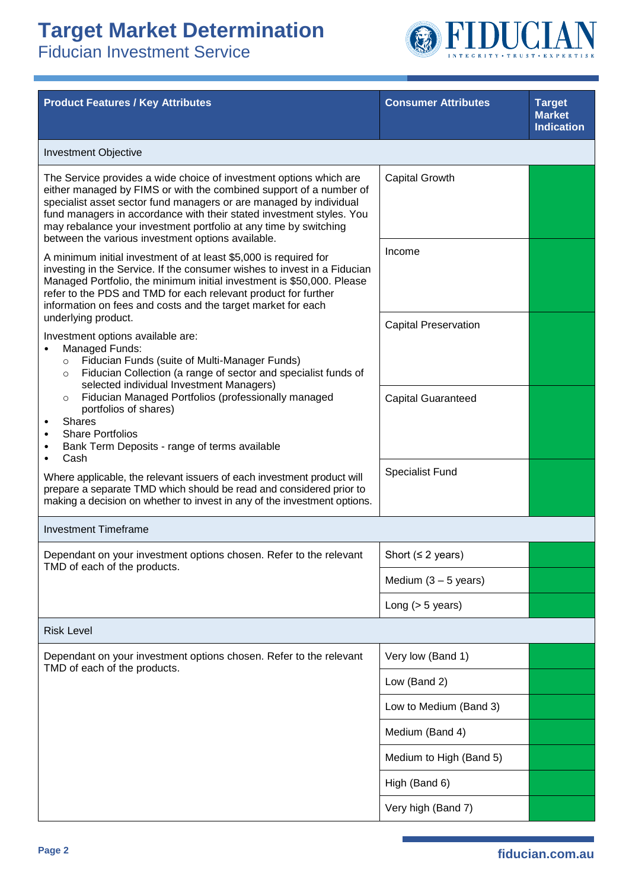

| <b>Product Features / Key Attributes</b>                                                                                                                                                                                                                                                                                                                                                                        | <b>Consumer Attributes</b>  | <b>Target</b><br><b>Market</b><br><b>Indication</b> |
|-----------------------------------------------------------------------------------------------------------------------------------------------------------------------------------------------------------------------------------------------------------------------------------------------------------------------------------------------------------------------------------------------------------------|-----------------------------|-----------------------------------------------------|
| <b>Investment Objective</b>                                                                                                                                                                                                                                                                                                                                                                                     |                             |                                                     |
| The Service provides a wide choice of investment options which are<br>either managed by FIMS or with the combined support of a number of<br>specialist asset sector fund managers or are managed by individual<br>fund managers in accordance with their stated investment styles. You<br>may rebalance your investment portfolio at any time by switching<br>between the various investment options available. | <b>Capital Growth</b>       |                                                     |
| A minimum initial investment of at least \$5,000 is required for<br>investing in the Service. If the consumer wishes to invest in a Fiducian<br>Managed Portfolio, the minimum initial investment is \$50,000. Please<br>refer to the PDS and TMD for each relevant product for further<br>information on fees and costs and the target market for each                                                         | Income                      |                                                     |
| underlying product.<br>Investment options available are:<br>Managed Funds:<br>Fiducian Funds (suite of Multi-Manager Funds)<br>$\circ$<br>Fiducian Collection (a range of sector and specialist funds of<br>$\circ$<br>selected individual Investment Managers)                                                                                                                                                 | <b>Capital Preservation</b> |                                                     |
| Fiducian Managed Portfolios (professionally managed<br>$\circ$<br>portfolios of shares)<br><b>Shares</b><br><b>Share Portfolios</b><br>Bank Term Deposits - range of terms available<br>٠<br>Cash                                                                                                                                                                                                               | <b>Capital Guaranteed</b>   |                                                     |
| Where applicable, the relevant issuers of each investment product will<br>prepare a separate TMD which should be read and considered prior to<br>making a decision on whether to invest in any of the investment options.                                                                                                                                                                                       | <b>Specialist Fund</b>      |                                                     |
| <b>Investment Timeframe</b>                                                                                                                                                                                                                                                                                                                                                                                     |                             |                                                     |
| Dependant on your investment options chosen. Refer to the relevant                                                                                                                                                                                                                                                                                                                                              | Short ( $\leq$ 2 years)     |                                                     |
| TMD of each of the products.                                                                                                                                                                                                                                                                                                                                                                                    | Medium $(3 - 5$ years)      |                                                     |
|                                                                                                                                                                                                                                                                                                                                                                                                                 | Long $(> 5$ years)          |                                                     |
| <b>Risk Level</b>                                                                                                                                                                                                                                                                                                                                                                                               |                             |                                                     |
| Dependant on your investment options chosen. Refer to the relevant<br>TMD of each of the products.                                                                                                                                                                                                                                                                                                              | Very low (Band 1)           |                                                     |
|                                                                                                                                                                                                                                                                                                                                                                                                                 | Low (Band 2)                |                                                     |
|                                                                                                                                                                                                                                                                                                                                                                                                                 | Low to Medium (Band 3)      |                                                     |
|                                                                                                                                                                                                                                                                                                                                                                                                                 | Medium (Band 4)             |                                                     |
|                                                                                                                                                                                                                                                                                                                                                                                                                 | Medium to High (Band 5)     |                                                     |
|                                                                                                                                                                                                                                                                                                                                                                                                                 | High (Band 6)               |                                                     |
|                                                                                                                                                                                                                                                                                                                                                                                                                 | Very high (Band 7)          |                                                     |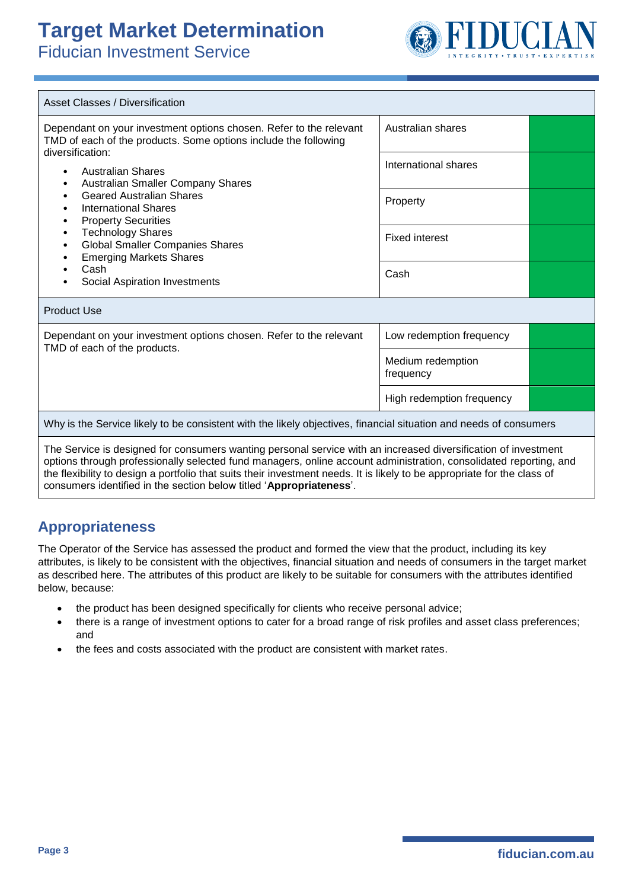Fiducian Investment Service



| <b>Asset Classes / Diversification</b>                                                                                                                                                                                                                                                                                                                          |                                |  |  |
|-----------------------------------------------------------------------------------------------------------------------------------------------------------------------------------------------------------------------------------------------------------------------------------------------------------------------------------------------------------------|--------------------------------|--|--|
| Dependant on your investment options chosen. Refer to the relevant<br>TMD of each of the products. Some options include the following<br>diversification:                                                                                                                                                                                                       | Australian shares              |  |  |
| <b>Australian Shares</b><br>$\bullet$<br>Australian Smaller Company Shares<br>٠                                                                                                                                                                                                                                                                                 | International shares           |  |  |
| <b>Geared Australian Shares</b><br>٠<br><b>International Shares</b><br>٠<br><b>Property Securities</b><br>٠                                                                                                                                                                                                                                                     | Property                       |  |  |
| <b>Technology Shares</b><br>٠<br><b>Global Smaller Companies Shares</b><br>$\bullet$<br><b>Emerging Markets Shares</b>                                                                                                                                                                                                                                          | <b>Fixed interest</b>          |  |  |
| Cash<br>Social Aspiration Investments                                                                                                                                                                                                                                                                                                                           | Cash                           |  |  |
| <b>Product Use</b>                                                                                                                                                                                                                                                                                                                                              |                                |  |  |
| Dependant on your investment options chosen. Refer to the relevant<br>TMD of each of the products.                                                                                                                                                                                                                                                              | Low redemption frequency       |  |  |
|                                                                                                                                                                                                                                                                                                                                                                 | Medium redemption<br>frequency |  |  |
|                                                                                                                                                                                                                                                                                                                                                                 | High redemption frequency      |  |  |
| Why is the Service likely to be consistent with the likely objectives, financial situation and needs of consumers                                                                                                                                                                                                                                               |                                |  |  |
| The Service is designed for consumers wanting personal service with an increased diversification of investment<br>options through professionally selected fund managers, online account administration, consolidated reporting, and<br>the flexibility to design a portfolio that suits their investment needs. It is likely to be appropriate for the class of |                                |  |  |

consumers identified in the section below titled '**Appropriateness**'.

### **Appropriateness**

The Operator of the Service has assessed the product and formed the view that the product, including its key attributes, is likely to be consistent with the objectives, financial situation and needs of consumers in the target market as described here. The attributes of this product are likely to be suitable for consumers with the attributes identified below, because:

- the product has been designed specifically for clients who receive personal advice;
- there is a range of investment options to cater for a broad range of risk profiles and asset class preferences; and
- the fees and costs associated with the product are consistent with market rates.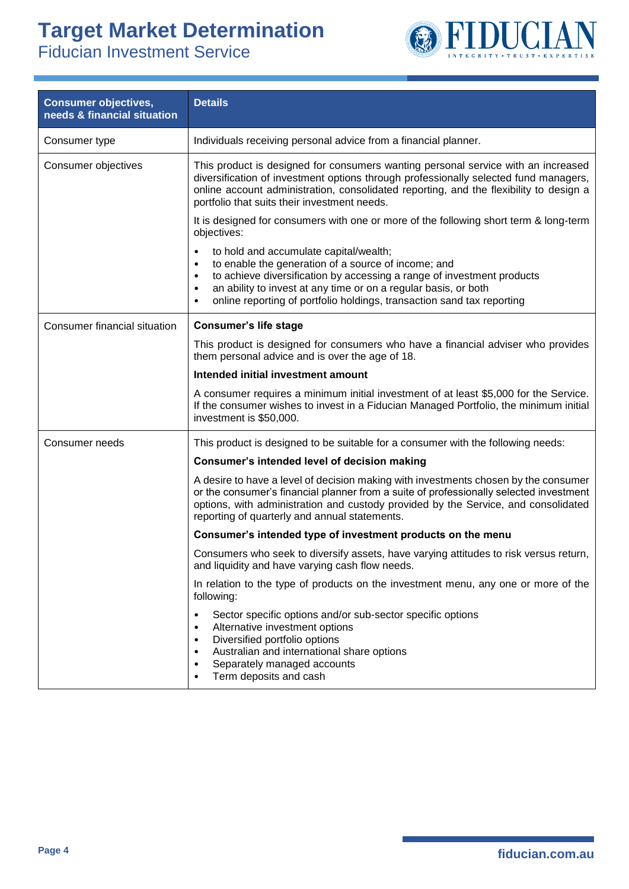

| <b>Consumer objectives,</b><br>needs & financial situation | <b>Details</b>                                                                                                                                                                                                                                                                                                                                                                |
|------------------------------------------------------------|-------------------------------------------------------------------------------------------------------------------------------------------------------------------------------------------------------------------------------------------------------------------------------------------------------------------------------------------------------------------------------|
| Consumer type                                              | Individuals receiving personal advice from a financial planner.                                                                                                                                                                                                                                                                                                               |
| Consumer objectives                                        | This product is designed for consumers wanting personal service with an increased<br>diversification of investment options through professionally selected fund managers,<br>online account administration, consolidated reporting, and the flexibility to design a<br>portfolio that suits their investment needs.                                                           |
|                                                            | It is designed for consumers with one or more of the following short term & long-term<br>objectives:                                                                                                                                                                                                                                                                          |
|                                                            | to hold and accumulate capital/wealth;<br>$\bullet$<br>to enable the generation of a source of income; and<br>$\bullet$<br>to achieve diversification by accessing a range of investment products<br>٠<br>an ability to invest at any time or on a regular basis, or both<br>$\bullet$<br>online reporting of portfolio holdings, transaction sand tax reporting<br>$\bullet$ |
| Consumer financial situation                               | <b>Consumer's life stage</b>                                                                                                                                                                                                                                                                                                                                                  |
|                                                            | This product is designed for consumers who have a financial adviser who provides<br>them personal advice and is over the age of 18.                                                                                                                                                                                                                                           |
|                                                            | Intended initial investment amount                                                                                                                                                                                                                                                                                                                                            |
|                                                            | A consumer requires a minimum initial investment of at least \$5,000 for the Service.<br>If the consumer wishes to invest in a Fiducian Managed Portfolio, the minimum initial<br>investment is \$50,000.                                                                                                                                                                     |
| Consumer needs                                             | This product is designed to be suitable for a consumer with the following needs:                                                                                                                                                                                                                                                                                              |
|                                                            | Consumer's intended level of decision making                                                                                                                                                                                                                                                                                                                                  |
|                                                            | A desire to have a level of decision making with investments chosen by the consumer<br>or the consumer's financial planner from a suite of professionally selected investment<br>options, with administration and custody provided by the Service, and consolidated<br>reporting of quarterly and annual statements.                                                          |
|                                                            | Consumer's intended type of investment products on the menu                                                                                                                                                                                                                                                                                                                   |
|                                                            | Consumers who seek to diversify assets, have varying attitudes to risk versus return,<br>and liquidity and have varying cash flow needs.                                                                                                                                                                                                                                      |
|                                                            | In relation to the type of products on the investment menu, any one or more of the<br>following:                                                                                                                                                                                                                                                                              |
|                                                            | Sector specific options and/or sub-sector specific options<br>٠<br>Alternative investment options<br>٠<br>Diversified portfolio options<br>٠<br>Australian and international share options<br>٠<br>Separately managed accounts<br>٠<br>Term deposits and cash<br>٠                                                                                                            |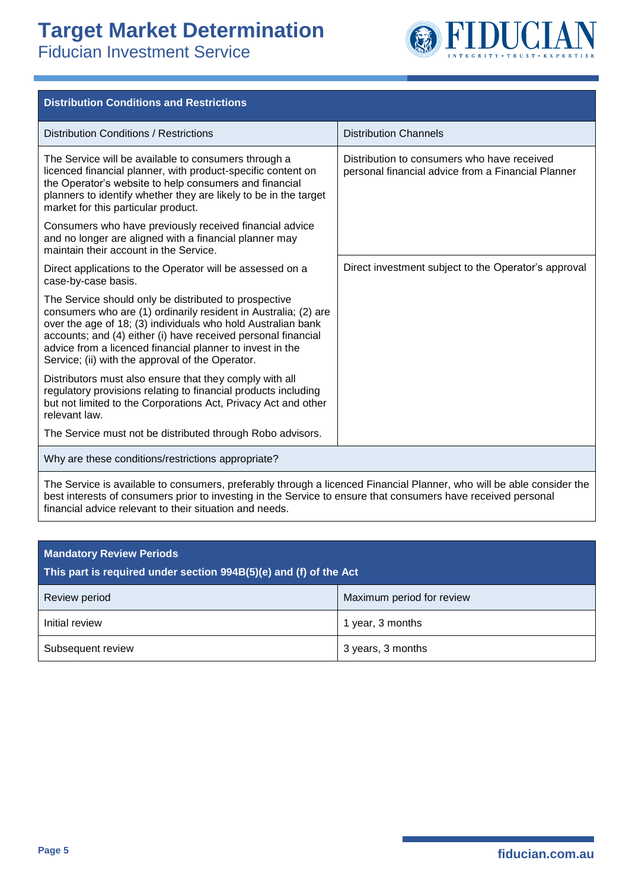

| <b>Distribution Conditions and Restrictions</b>                                                                                                                                                                                                                                                                                                                            |                                                                                                   |
|----------------------------------------------------------------------------------------------------------------------------------------------------------------------------------------------------------------------------------------------------------------------------------------------------------------------------------------------------------------------------|---------------------------------------------------------------------------------------------------|
| <b>Distribution Conditions / Restrictions</b>                                                                                                                                                                                                                                                                                                                              | <b>Distribution Channels</b>                                                                      |
| The Service will be available to consumers through a<br>licenced financial planner, with product-specific content on<br>the Operator's website to help consumers and financial<br>planners to identify whether they are likely to be in the target<br>market for this particular product.                                                                                  | Distribution to consumers who have received<br>personal financial advice from a Financial Planner |
| Consumers who have previously received financial advice<br>and no longer are aligned with a financial planner may<br>maintain their account in the Service.                                                                                                                                                                                                                |                                                                                                   |
| Direct applications to the Operator will be assessed on a<br>case-by-case basis.                                                                                                                                                                                                                                                                                           | Direct investment subject to the Operator's approval                                              |
| The Service should only be distributed to prospective<br>consumers who are (1) ordinarily resident in Australia; (2) are<br>over the age of 18; (3) individuals who hold Australian bank<br>accounts; and (4) either (i) have received personal financial<br>advice from a licenced financial planner to invest in the<br>Service; (ii) with the approval of the Operator. |                                                                                                   |
| Distributors must also ensure that they comply with all<br>regulatory provisions relating to financial products including<br>but not limited to the Corporations Act, Privacy Act and other<br>relevant law.                                                                                                                                                               |                                                                                                   |
| The Service must not be distributed through Robo advisors.                                                                                                                                                                                                                                                                                                                 |                                                                                                   |
| Why are these conditions/restrictions appropriate?                                                                                                                                                                                                                                                                                                                         |                                                                                                   |
| The Service is available to consumers, preferably through a licenced Financial Planner, who will be able consider the<br>best interests of consumers prior to investing in the Service to ensure that consumers have received personal<br>financial advice relevant to their situation and needs.                                                                          |                                                                                                   |

| <b>Mandatory Review Periods</b><br>This part is required under section 994B(5)(e) and (f) of the Act |                           |
|------------------------------------------------------------------------------------------------------|---------------------------|
| Review period                                                                                        | Maximum period for review |
| Initial review                                                                                       | 1 year, 3 months          |
| Subsequent review                                                                                    | 3 years, 3 months         |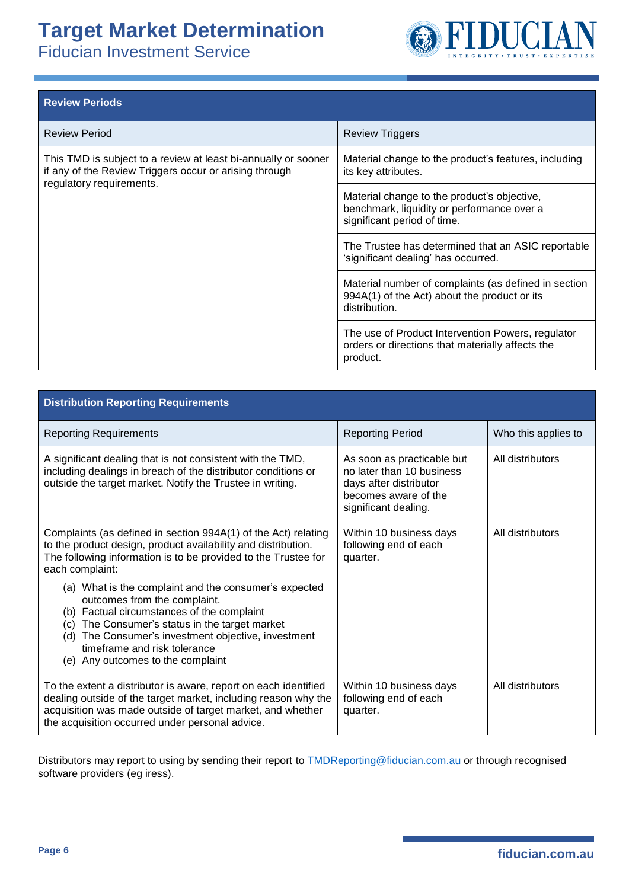Fiducian Investment Service



| <b>Review Periods</b>                                                                                                                                |                                                                                                                          |
|------------------------------------------------------------------------------------------------------------------------------------------------------|--------------------------------------------------------------------------------------------------------------------------|
| <b>Review Period</b>                                                                                                                                 | <b>Review Triggers</b>                                                                                                   |
| This TMD is subject to a review at least bi-annually or sooner<br>if any of the Review Triggers occur or arising through<br>regulatory requirements. | Material change to the product's features, including<br>its key attributes.                                              |
|                                                                                                                                                      | Material change to the product's objective,<br>benchmark, liquidity or performance over a<br>significant period of time. |
|                                                                                                                                                      | The Trustee has determined that an ASIC reportable<br>'significant dealing' has occurred.                                |
|                                                                                                                                                      | Material number of complaints (as defined in section<br>994A(1) of the Act) about the product or its<br>distribution.    |
|                                                                                                                                                      | The use of Product Intervention Powers, regulator<br>orders or directions that materially affects the<br>product.        |

| <b>Distribution Reporting Requirements</b>                                                                                                                                                                                                                                                                              |                                                                                                                                   |                     |
|-------------------------------------------------------------------------------------------------------------------------------------------------------------------------------------------------------------------------------------------------------------------------------------------------------------------------|-----------------------------------------------------------------------------------------------------------------------------------|---------------------|
| <b>Reporting Requirements</b>                                                                                                                                                                                                                                                                                           | <b>Reporting Period</b>                                                                                                           | Who this applies to |
| A significant dealing that is not consistent with the TMD,<br>including dealings in breach of the distributor conditions or<br>outside the target market. Notify the Trustee in writing.                                                                                                                                | As soon as practicable but<br>no later than 10 business<br>days after distributor<br>becomes aware of the<br>significant dealing. | All distributors    |
| Complaints (as defined in section 994A(1) of the Act) relating<br>to the product design, product availability and distribution.<br>The following information is to be provided to the Trustee for<br>each complaint:                                                                                                    | Within 10 business days<br>following end of each<br>quarter.                                                                      | All distributors    |
| (a) What is the complaint and the consumer's expected<br>outcomes from the complaint.<br>(b) Factual circumstances of the complaint<br>The Consumer's status in the target market<br>(c)<br>The Consumer's investment objective, investment<br>(d)<br>timeframe and risk tolerance<br>(e) Any outcomes to the complaint |                                                                                                                                   |                     |
| To the extent a distributor is aware, report on each identified<br>dealing outside of the target market, including reason why the<br>acquisition was made outside of target market, and whether<br>the acquisition occurred under personal advice.                                                                      | Within 10 business days<br>following end of each<br>quarter.                                                                      | All distributors    |

Distributors may report to using by sending their report to **TMDReporting@fiducian.com.au** or through recognised software providers (eg iress).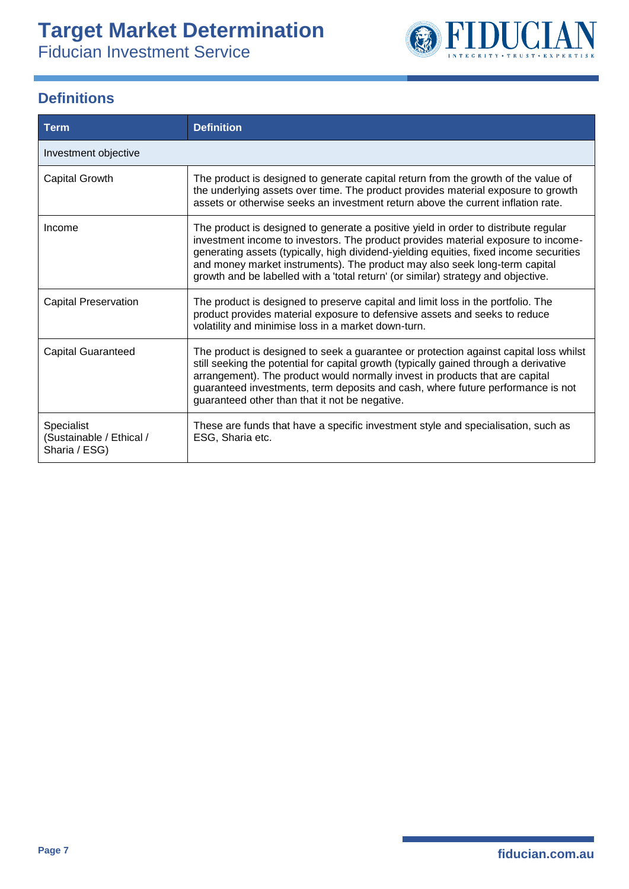Fiducian Investment Service



### **Definitions**

| Term                                                    | <b>Definition</b>                                                                                                                                                                                                                                                                                                                                                                                                                     |
|---------------------------------------------------------|---------------------------------------------------------------------------------------------------------------------------------------------------------------------------------------------------------------------------------------------------------------------------------------------------------------------------------------------------------------------------------------------------------------------------------------|
| Investment objective                                    |                                                                                                                                                                                                                                                                                                                                                                                                                                       |
| Capital Growth                                          | The product is designed to generate capital return from the growth of the value of<br>the underlying assets over time. The product provides material exposure to growth<br>assets or otherwise seeks an investment return above the current inflation rate.                                                                                                                                                                           |
| Income                                                  | The product is designed to generate a positive yield in order to distribute regular<br>investment income to investors. The product provides material exposure to income-<br>generating assets (typically, high dividend-yielding equities, fixed income securities<br>and money market instruments). The product may also seek long-term capital<br>growth and be labelled with a 'total return' (or similar) strategy and objective. |
| <b>Capital Preservation</b>                             | The product is designed to preserve capital and limit loss in the portfolio. The<br>product provides material exposure to defensive assets and seeks to reduce<br>volatility and minimise loss in a market down-turn.                                                                                                                                                                                                                 |
| <b>Capital Guaranteed</b>                               | The product is designed to seek a guarantee or protection against capital loss whilst<br>still seeking the potential for capital growth (typically gained through a derivative<br>arrangement). The product would normally invest in products that are capital<br>guaranteed investments, term deposits and cash, where future performance is not<br>guaranteed other than that it not be negative.                                   |
| Specialist<br>(Sustainable / Ethical /<br>Sharia / ESG) | These are funds that have a specific investment style and specialisation, such as<br>ESG, Sharia etc.                                                                                                                                                                                                                                                                                                                                 |